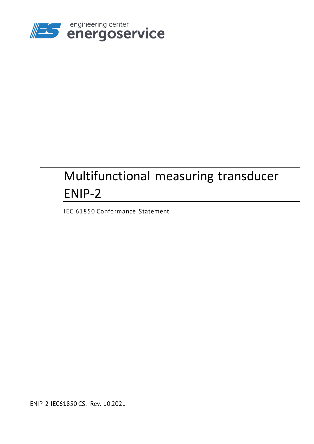

# Multifunctional measuring transducer ENIP-2

IEC 61850 Conformance Statement

ENIP-2 IEC61850 CS. Rev. 10.2021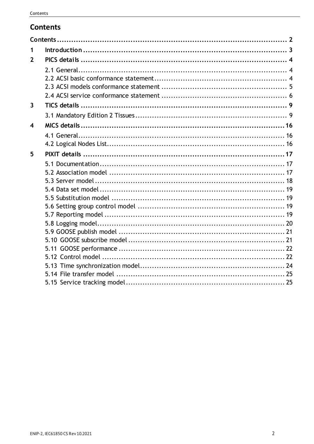# <span id="page-1-0"></span>**Contents**

| 1                       |  |
|-------------------------|--|
| $\mathbf{2}$            |  |
|                         |  |
|                         |  |
|                         |  |
| $\overline{\mathbf{3}}$ |  |
|                         |  |
| $\overline{\mathbf{4}}$ |  |
|                         |  |
|                         |  |
| 5                       |  |
|                         |  |
|                         |  |
|                         |  |
|                         |  |
|                         |  |
|                         |  |
|                         |  |
|                         |  |
|                         |  |
|                         |  |
|                         |  |
|                         |  |
|                         |  |
|                         |  |
|                         |  |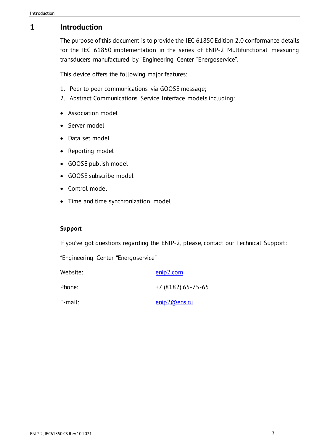# <span id="page-2-0"></span>**1 Introduction**

The purpose of this document is to provide the IEC 61850 Edition 2.0 conformance details for the IEC 61850 implementation in the series of ENIP-2 Multifunctional measuring transducers manufactured by "Engineering Center "Energoservice".

This device offers the following major features:

- 1. Peer to peer communications via GOOSE message;
- 2. Abstract Communications Service Interface models including:
- Association model
- Server model
- Data set model
- Reporting model
- GOOSE publish model
- GOOSE subscribe model
- Control model
- Time and time synchronization model

#### **Support**

If you've got questions regarding the ENIP-2, please, contact our Technical Support:

"Engineering Center "Energoservice"

| Website: | enip2.com              |
|----------|------------------------|
| Phone:   | $+7(8182)65 - 75 - 65$ |
| E-mail:  | enip2@ens.ru           |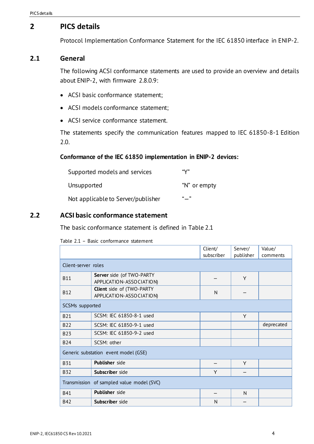# <span id="page-3-0"></span>**2 PICS details**

Protocol Implementation Conformance Statement for the IEC 61850 interface in ENIP-2.

#### <span id="page-3-1"></span>**2.1 General**

The following ACSI conformance statements are used to provide an overview and details about ENIP-2, with firmware 2.8.0.9:

- ACSI basic conformance statement;
- ACSI models conformance statement;
- ACSI service conformance statement.

The statements specify the communication features mapped to IEC 61850-8-1 Edition 2.0.

#### **Conformance of the IEC 61850 implementation in ENIP-2 devices:**

| Supported models and services      | "V"          |
|------------------------------------|--------------|
| Unsupported                        | "N" or empty |
| Not applicable to Server/publisher | "_"          |

#### <span id="page-3-3"></span><span id="page-3-2"></span>**2.2 ACSI basic conformance statement**

The basic conformance statement is defined in [Table 2.1](#page-3-3)

|                     |                                                       | Client/    | Server/   | Value/     |  |
|---------------------|-------------------------------------------------------|------------|-----------|------------|--|
|                     |                                                       | subscriber | publisher | comments   |  |
| Client-server roles |                                                       |            |           |            |  |
| <b>B11</b>          | Server side (of TWO-PARTY<br>APPLICATION-ASSOCIATION) |            | Y         |            |  |
| <b>B12</b>          | Client side of (TWO-PARTY<br>APPLICATION-ASSOCIATION) | N          |           |            |  |
| SCSMs supported     |                                                       |            |           |            |  |
| <b>B21</b>          | SCSM: IEC 61850-8-1 used                              |            | Y         |            |  |
| <b>B22</b>          | SCSM: IEC 61850-9-1 used                              |            |           | deprecated |  |
| <b>B23</b>          | SCSM: IEC 61850-9-2 used                              |            |           |            |  |
| <b>B24</b>          | SCSM: other                                           |            |           |            |  |
|                     | Generic substation event model (GSE)                  |            |           |            |  |
| <b>B31</b>          | <b>Publisher</b> side                                 |            | Y         |            |  |
| <b>B32</b>          | Subscriber side                                       | Y          |           |            |  |
|                     | Transmission of sampled value model (SVC)             |            |           |            |  |
| <b>B41</b>          | Publisher side                                        |            | N         |            |  |
| <b>B42</b>          | Subscriber side                                       | N          |           |            |  |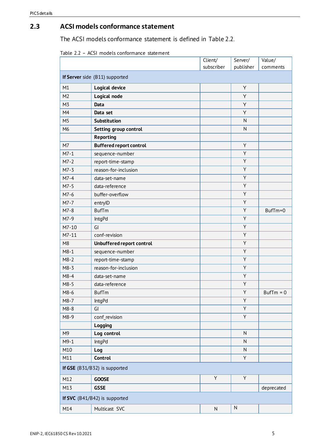### <span id="page-4-1"></span><span id="page-4-0"></span>**2.3 ACSI models conformance statement**

The ACSI models conformance statement is defined in [Table](#page-4-1) 2.2.

| Table 2.2 - ACSI models conformance statement |  |  |
|-----------------------------------------------|--|--|
|-----------------------------------------------|--|--|

|                                |                                | Client/    | Server/      | Value/      |
|--------------------------------|--------------------------------|------------|--------------|-------------|
|                                |                                | subscriber | publisher    | comments    |
| If Server side (B11) supported |                                |            |              |             |
| M1                             | Logical device                 |            | Υ            |             |
| M <sub>2</sub>                 | Logical node                   |            | Υ            |             |
| M <sub>3</sub>                 | Data                           |            | Υ            |             |
| M4                             | Data set                       |            | Y            |             |
| M <sub>5</sub>                 | Substitution                   |            | ${\sf N}$    |             |
| M6                             | Setting group control          |            | $\mathsf{N}$ |             |
|                                | <b>Reporting</b>               |            |              |             |
| M7                             | <b>Buffered report control</b> |            | Υ            |             |
| $M7-1$                         | sequence-number                |            | Υ            |             |
| $M7-2$                         | report-time-stamp              |            | Υ            |             |
| $M7-3$                         | reason-for-inclusion           |            | Υ            |             |
| $M7-4$                         | data-set-name                  |            | Υ            |             |
| $M7-5$                         | data-reference                 |            | Υ            |             |
| $M7-6$                         | buffer-overflow                |            | Υ            |             |
| $M7-7$                         | entryID                        |            | Υ            |             |
| $M7-8$                         | <b>BufTm</b>                   |            | Υ            | BufTm=0     |
| M7-9                           | <b>IntgPd</b>                  |            | Υ            |             |
| $M7-10$                        | GI                             |            | Υ            |             |
| $M7-11$                        | conf-revision                  |            | Υ            |             |
| M8                             | Unbuffered report control      |            | Y            |             |
| $M8-1$                         | sequence-number                |            | Υ            |             |
| $M8-2$                         | report-time-stamp              |            | Υ            |             |
| $M8-3$                         | reason-for-inclusion           |            | Υ            |             |
| $M8-4$                         | data-set-name                  |            | Y            |             |
| $M8-5$                         | data-reference                 |            | Y            |             |
| M8-6                           | <b>BufTm</b>                   |            | Υ            | $BufTm = 0$ |
| $M8-7$                         | <b>IntgPd</b>                  |            | Υ            |             |
| $M8-8$                         | GI                             |            | Υ            |             |
| M8-9                           | conf_revision                  |            | Υ            |             |
|                                | Logging                        |            |              |             |
| M <sub>9</sub>                 | Log control                    |            | N            |             |
| $M9-1$                         | <b>IntgPd</b>                  |            | ${\sf N}$    |             |
| M10                            | Log                            |            | ${\sf N}$    |             |
| M11                            | Control                        |            | Υ            |             |
|                                | If GSE (B31/B32) is supported  |            |              |             |
| M12                            | <b>GOOSE</b>                   | Υ          | Y            |             |
| M13                            | <b>GSSE</b>                    |            |              | deprecated  |
|                                | If SVC (B41/B42) is supported  |            |              |             |
| M14                            | Multicast SVC                  | N          | $\mathsf{N}$ |             |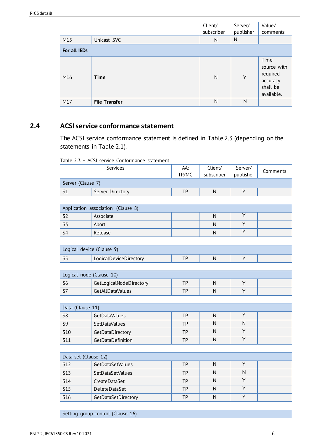|              |                      | Client/      | Server/   | Value/                                                                |  |  |  |
|--------------|----------------------|--------------|-----------|-----------------------------------------------------------------------|--|--|--|
|              |                      | subscriber   | publisher | comments                                                              |  |  |  |
| M15          | Unicast SVC          | N            | N         |                                                                       |  |  |  |
| For all IEDs |                      |              |           |                                                                       |  |  |  |
| M16          | <b>Time</b>          | $\mathsf{N}$ | Y         | Time<br>source with<br>required<br>accuracy<br>shall be<br>available. |  |  |  |
| M17          | <b>File Transfer</b> | N            | N         |                                                                       |  |  |  |

### <span id="page-5-0"></span>**2.4 ACSI service conformance statement**

The ACSI service conformance statement is defined in [Table](#page-5-1) 2.3 (depending on the statements in [Table 2.1\)](#page-3-3).

| Table 2.3 - ACSI service Conformance statement |
|------------------------------------------------|
|------------------------------------------------|

<span id="page-5-1"></span>

|                   | <b>Services</b>  | AA:<br>TP/MC | Client/<br>subscriber | Server/<br>publisher | Comments |
|-------------------|------------------|--------------|-----------------------|----------------------|----------|
| Server (Clause 7) |                  |              |                       |                      |          |
|                   | Server Directory | TР           | N                     |                      |          |

| Application association (Clause 8) |           |  |  |  |  |  |
|------------------------------------|-----------|--|--|--|--|--|
|                                    | Associate |  |  |  |  |  |
|                                    | Abort     |  |  |  |  |  |
|                                    | Release   |  |  |  |  |  |

| Logical device (Clause 9) |                        |  |  |  |  |
|---------------------------|------------------------|--|--|--|--|
|                           | LogicalDeviceDirectory |  |  |  |  |

| Logical node (Clause 10)      |                  |     |  |  |  |  |  |
|-------------------------------|------------------|-----|--|--|--|--|--|
| GetLogicalNodeDirectory<br>TD |                  |     |  |  |  |  |  |
|                               | GetAllDataValues | TP. |  |  |  |  |  |

| Data (Clause 11) |                   |    |   |  |  |  |  |  |
|------------------|-------------------|----|---|--|--|--|--|--|
| S <sub>8</sub>   | GetDataValues     | ТP | N |  |  |  |  |  |
| S <sub>9</sub>   | SetDataValues     | ТP |   |  |  |  |  |  |
| <b>S10</b>       | GetDataDirectory  | ТP | N |  |  |  |  |  |
| S <sub>11</sub>  | GetDataDefinition | ТP | N |  |  |  |  |  |

| Data set (Clause 12) |                     |    |   |  |  |  |  |
|----------------------|---------------------|----|---|--|--|--|--|
| S <sub>12</sub>      | GetDataSetValues    | TΡ | N |  |  |  |  |
| <b>S13</b>           | SetDataSetValues    | ТP | N |  |  |  |  |
| <b>S14</b>           | CreateDataSet       | ТP | N |  |  |  |  |
| <b>S15</b>           | DeleteDataSet       | ТP | N |  |  |  |  |
| S <sub>16</sub>      | GetDataSetDirectory | ТP | N |  |  |  |  |

Setting group control (Clause 16)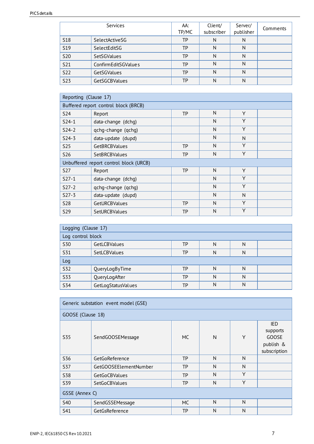#### PICS details

|            | <b>Services</b>     | AA:<br>TP/MC | Client/<br>subscriber | Server/<br>publisher | Comments |
|------------|---------------------|--------------|-----------------------|----------------------|----------|
| <b>S18</b> | SelectActiveSG      | <b>TP</b>    | N                     | N                    |          |
| <b>S19</b> | SelectEditSG        | TP           | N                     | N                    |          |
| <b>S20</b> | SetSGValues         | <b>TP</b>    | N                     | N                    |          |
| <b>S21</b> | ConfirmEditSGValues | TP           | N                     | N                    |          |
| <b>S22</b> | GetSGValues         | ТP           | N                     | N                    |          |
| <b>S23</b> | GetSGCBValues       | TP           | N                     | Ν                    |          |

| Reporting (Clause 17)                |                                        |           |   |   |  |  |  |  |
|--------------------------------------|----------------------------------------|-----------|---|---|--|--|--|--|
| Buffered report control block (BRCB) |                                        |           |   |   |  |  |  |  |
| <b>S24</b>                           | Report                                 | <b>TP</b> | N | Y |  |  |  |  |
| $S24-1$                              | data-change (dchg)                     |           | N | Y |  |  |  |  |
| $S24-2$                              | qchq-change (qchq)                     |           | N | Y |  |  |  |  |
| $S24-3$                              | data-update (dupd)                     |           | N | N |  |  |  |  |
| <b>S25</b>                           | GetBRCBValues                          | <b>TP</b> | N | Y |  |  |  |  |
| <b>S26</b>                           | <b>SetBRCBValues</b>                   | <b>TP</b> | N | Y |  |  |  |  |
|                                      | Unbuffered report control block (URCB) |           |   |   |  |  |  |  |
| <b>S27</b>                           | Report                                 | <b>TP</b> | N | Y |  |  |  |  |
| $S27-1$                              | data-change (dchq)                     |           | N | Y |  |  |  |  |
| $S27-2$                              | qchg-change (qchg)                     |           | N | Y |  |  |  |  |
| $S27-3$                              | data-update (dupd)                     |           | N | N |  |  |  |  |
| <b>S28</b>                           | GetURCBValues                          | <b>TP</b> | N | Y |  |  |  |  |
| S <sub>29</sub>                      | <b>SetURCBValues</b>                   | TP        | N | Y |  |  |  |  |

| Logging (Clause 17) |                    |           |   |   |  |  |  |  |
|---------------------|--------------------|-----------|---|---|--|--|--|--|
| Log control block   |                    |           |   |   |  |  |  |  |
| <b>S30</b>          | GetLCBValues       | TP        | N | N |  |  |  |  |
| S31                 | SetLCBValues       | ТP        | N | N |  |  |  |  |
| Log                 |                    |           |   |   |  |  |  |  |
| <b>S32</b>          | QueryLogByTime     | TP        | N | N |  |  |  |  |
| <b>S33</b>          | QueryLogAfter      | <b>TP</b> | N | N |  |  |  |  |
| <b>S34</b>          | GetLogStatusValues | TP        | N | N |  |  |  |  |

| Generic substation event model (GSE) |                       |           |   |   |                                                                     |  |  |  |
|--------------------------------------|-----------------------|-----------|---|---|---------------------------------------------------------------------|--|--|--|
| GOOSE (Clause 18)                    |                       |           |   |   |                                                                     |  |  |  |
| <b>S35</b>                           | SendGOOSEMessage      | <b>MC</b> | N | Y | <b>IED</b><br>supports<br><b>GOOSE</b><br>publish &<br>subscription |  |  |  |
| <b>S36</b>                           | GetGoReference        | <b>TP</b> | N | N |                                                                     |  |  |  |
| <b>S37</b>                           | GetGOOSEElementNumber | <b>TP</b> | N | N |                                                                     |  |  |  |
| <b>S38</b>                           | GetGoCBValues         | <b>TP</b> | N | Υ |                                                                     |  |  |  |
| <b>S39</b>                           | <b>SetGoCBValues</b>  | <b>TP</b> | N | Y |                                                                     |  |  |  |
| GSSE (Annex C)                       |                       |           |   |   |                                                                     |  |  |  |
| <b>S40</b>                           | SendGSSEMessage       | <b>MC</b> | N | N |                                                                     |  |  |  |
| S41                                  | GetGsReference        | <b>TP</b> | N | N |                                                                     |  |  |  |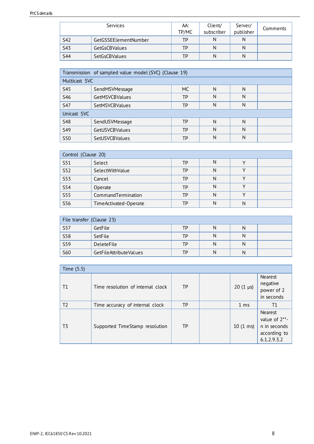| <b>Services</b> |                      | AA:<br>TP/MC | Client/<br>subscriber | Server/<br>publisher | Comments |
|-----------------|----------------------|--------------|-----------------------|----------------------|----------|
| S42             | GetGSSEElementNumber | ТP           | N                     |                      |          |
| S43             | <b>GetGsCBValues</b> | ТP           | N                     |                      |          |
| <b>S44</b>      | <b>SetGsCBValues</b> | ТP           | N                     | N                    |          |

| Transmission of sampled value model (SVC) (Clause 19) |                       |     |   |   |  |  |  |  |
|-------------------------------------------------------|-----------------------|-----|---|---|--|--|--|--|
| Multicast SVC                                         |                       |     |   |   |  |  |  |  |
| <b>S45</b>                                            | SendMSVMessage        | MC. | N | N |  |  |  |  |
| <b>S46</b>                                            | <b>GetMSVCBValues</b> | TP  | N | Ν |  |  |  |  |
| <b>S47</b>                                            | <b>SetMSVCBValues</b> | ТP  | N | N |  |  |  |  |
| Unicast SVC                                           |                       |     |   |   |  |  |  |  |
| <b>S48</b>                                            | SendUSVMessage        | ТP  | N | N |  |  |  |  |
| <b>S49</b>                                            | GetUSVCBValues        | TP  | N | N |  |  |  |  |
| <b>S50</b>                                            | <b>SetUSVCBValues</b> | ТP  | N | N |  |  |  |  |

| Control (Clause 20) |                       |    |   |   |  |  |  |
|---------------------|-----------------------|----|---|---|--|--|--|
| S51                 | Select                | TP | N |   |  |  |  |
| <b>S52</b>          | SelectWithValue       | ТP | N |   |  |  |  |
| <b>S53</b>          | Cancel                | TP | N |   |  |  |  |
| <b>S54</b>          | Operate               | TP | N |   |  |  |  |
| <b>S55</b>          | CommandTermination    | TP | N |   |  |  |  |
| <b>S56</b>          | TimeActivated-Operate | ТP | N | N |  |  |  |

| File transfer (Clause 23) |                        |    |  |   |  |  |  |
|---------------------------|------------------------|----|--|---|--|--|--|
| <b>S57</b>                | GetFile                | ТP |  | N |  |  |  |
| <b>S58</b>                | SetFile                | TP |  |   |  |  |  |
| <b>S59</b>                | <b>DeleteFile</b>      | ТP |  | N |  |  |  |
| <b>S60</b>                | GetFileAttributeValues | ТP |  | N |  |  |  |

| Time (5.5)     |                                   |           |  |                    |                                                                         |  |  |  |
|----------------|-----------------------------------|-----------|--|--------------------|-------------------------------------------------------------------------|--|--|--|
| T <sub>1</sub> | Time resolution of internal clock | TP        |  | $20(1 \mu s)$      | Nearest<br>negative<br>power of 2<br>in seconds                         |  |  |  |
| T <sub>2</sub> | Time accuracy of internal clock   | <b>TP</b> |  | 1 <sub>ms</sub>    | Τ1                                                                      |  |  |  |
| T3             | Supported TimeStamp resolution    | <b>TP</b> |  | $10(1 \text{ ms})$ | Nearest<br>value of 2**-<br>n in seconds<br>according to<br>6.1.2.9.3.2 |  |  |  |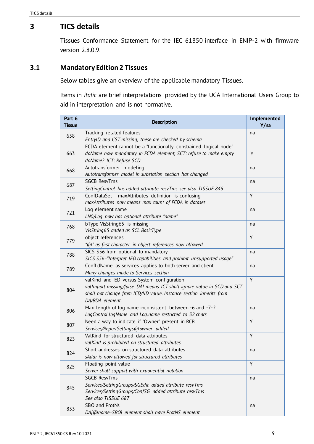### <span id="page-8-0"></span>**3 TICS details**

Tissues Conformance Statement for the IEC 61850 interface in ENIP-2 with firmware version 2.8.0.9.

### <span id="page-8-1"></span>**3.1 Mandatory Edition 2 Tissues**

Below tables give an overview of the applicable mandatory Tissues.

Items in *italic* are brief interpretations provided by the UCA International Users Group to aid in interpretation and is not normative.

| Part 6<br><b>Tissue</b> | <b>Description</b>                                                                                                                                                                                               | Implemented<br>Y/na |
|-------------------------|------------------------------------------------------------------------------------------------------------------------------------------------------------------------------------------------------------------|---------------------|
| 658                     | Tracking related features<br>EntryID and CST missing, these are checked by schema                                                                                                                                | na                  |
| 663                     | FCDA element cannot be a "functionally constrained logical node"<br>doName now mandatory in FCDA element, SCT: refuse to make empty<br>doName? ICT: Refuse SCD                                                   | Y                   |
| 668                     | Autotransformer modeling<br>Autotransformer model in substation section has changed                                                                                                                              | na                  |
| 687                     | <b>SGCB ResvTms</b><br>SettingControl has added attribute resvTms see also TISSUE 845                                                                                                                            | na                  |
| 719                     | ConfDataSet - maxAttributes definition is confusing<br>maxAttributes now means max count of FCDA in dataset                                                                                                      | Y                   |
| 721                     | Log element name<br>LN0/Log now has optional attribute "name"                                                                                                                                                    | na                  |
| 768                     | bType VisString65 is missing<br>VisString65 added as SCL BasicType                                                                                                                                               | na                  |
| 779                     | object references<br>"@" as first character in object references now allowed                                                                                                                                     | Y                   |
| 788                     | SICS S56 from optional to mandatory<br>SICS S56="Interpret IED capabilities and prohibit unsupported usage"                                                                                                      | na                  |
| 789                     | ConfLdName as services applies to both server and client<br>Many changes made to Services section                                                                                                                | na                  |
| 804                     | valKind and IED versus System configuration<br>valImport missing/false DAI means ICT shall ignore value in SCD and SCT<br>shall not change from ICD/IID value. Instance section inherits from<br>DA/BDA element. | Y                   |
| 806                     | Max length of log name inconsistent between -6 and -7-2<br>LogControl.logName and Log.name restricted to 32 chars                                                                                                | na                  |
| 807                     | Need a way to indicate if "Owner" present in RCB<br>Services/ReportSettings@owner added                                                                                                                          | Y                   |
| 823                     | ValKind for structured data attributes<br>valKind is prohibited on structured attributes                                                                                                                         | Y                   |
| 824                     | Short addresses on structured data attributes<br>sAddr is now allowed for structured attributes                                                                                                                  | na                  |
| 825                     | Floating point value<br>Server shall support with exponential notation                                                                                                                                           | Y                   |
| 845                     | <b>SGCB ResvTms</b><br>Services/SettingGroups/SGEdit added attribute resvTms<br>Services/SettingGroups/ConfSG added attribute resvTms<br>See also TISSUE 687                                                     | na                  |
| 853                     | SBO and ProtNs<br>DA[@name=SBO] element shall have ProtNS element                                                                                                                                                | na                  |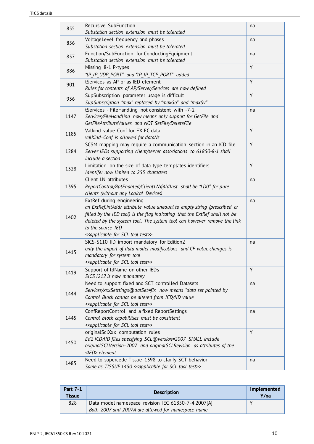| 855  | Recursive SubFunction<br>Substation section extension must be tolerated                                                                                                                                                                                                                                                                               | na |
|------|-------------------------------------------------------------------------------------------------------------------------------------------------------------------------------------------------------------------------------------------------------------------------------------------------------------------------------------------------------|----|
|      | VoltageLevel frequency and phases                                                                                                                                                                                                                                                                                                                     | na |
| 856  | Substation section extension must be tolerated                                                                                                                                                                                                                                                                                                        |    |
| 857  | Function/SubFunction for ConductingEquipment                                                                                                                                                                                                                                                                                                          | na |
|      | Substation section extension must be tolerated                                                                                                                                                                                                                                                                                                        |    |
| 886  | Missing 8-1 P-types<br>"tP_IP_UDP_PORT" and "tP_IP_TCP_PORT" added                                                                                                                                                                                                                                                                                    | Y  |
| 901  | tServices as AP or as IED element<br>Rules for contents of AP/Server/Services are now defined                                                                                                                                                                                                                                                         | Y  |
| 936  | SupSubscription parameter usage is difficult<br>SupSubscription "max" replaced by "maxGo" and "maxSv"                                                                                                                                                                                                                                                 | Y  |
| 1147 | tServices - FileHandling not consistent with -7-2<br>Services/FileHandling now means only support for GetFile and<br>GetFileAttributeValues and NOT SetFile/DeleteFile                                                                                                                                                                                | na |
| 1185 | Valkind value Conf for EX FC data<br>valKind=Conf is allowed for dataNs                                                                                                                                                                                                                                                                               | Y  |
| 1284 | SCSM mapping may require a communication section in an ICD file<br>Server IEDs supporting client/server associations to 61850-8-1 shall<br>include a section                                                                                                                                                                                          | Y  |
| 1328 | Limitation on the size of data type templates identifiers<br>Identifer now limited to 255 characters                                                                                                                                                                                                                                                  | Y  |
| 1395 | Client LN attributes<br>ReportControl/RptEnabled/ClientLN@ldInst shall be "LD0" for pure<br>clients (without any Logical Devices)                                                                                                                                                                                                                     | na |
| 1402 | ExtRef during engineering<br>an ExtRef.intAddr attribute value unequal to empty string (prescribed or<br>filled by the IED tool) is the flag indicating that the ExtRef shall not be<br>deleted by the system tool. The system tool can however remove the link<br>to the source IED<br>< <applicable for="" scl="" test="" tool="">&gt;</applicable> | na |
| 1415 | SICS-S110 IID import mandatory for Edition2<br>only the import of data model modifications and CF value changes is<br>mandatory for system tool<br>< <applicable for="" scl="" test="" tool="">&gt;</applicable>                                                                                                                                      | na |
| 1419 | Support of IdName on other IEDs<br>SICS 1212 is now mandatory                                                                                                                                                                                                                                                                                         | Y  |
| 1444 | Need to support fixed and SCT controlled Datasets<br>Services/xxxSetttings@datSet=fix now means "data set pointed by<br>Control Block cannot be altered from ICD/IID value<br>< <applicable for="" scl="" test="" tool="">&gt;</applicable>                                                                                                           | na |
| 1445 | ConfReportControl and a fixed ReportSettings<br>Control block capabilities must be consistent<br>< <applicable for="" scl="" test="" tool="">&gt;</applicable>                                                                                                                                                                                        | na |
| 1450 | originalSclXxx computation rules<br>Ed2 ICD/IID files specifying SCL@version=2007 SHALL include<br>originalSCLVersion=2007 and originalSCLRevision as attributes of the<br><ied> element</ied>                                                                                                                                                        | Y  |
| 1485 | Need to supercede Tissue 1398 to clarify SCT behavior<br>Same as TISSUE 1450 << applicable for SCL tool test>>                                                                                                                                                                                                                                        | na |

| <b>Part 7-1</b><br><b>Tissue</b> | <b>Description</b>                                                                                        | Implemented<br>Y/na |
|----------------------------------|-----------------------------------------------------------------------------------------------------------|---------------------|
| 828                              | Data model namespace revision IEC 61850-7-4:2007[A]<br>Both 2007 and 2007A are allowed for namespace name |                     |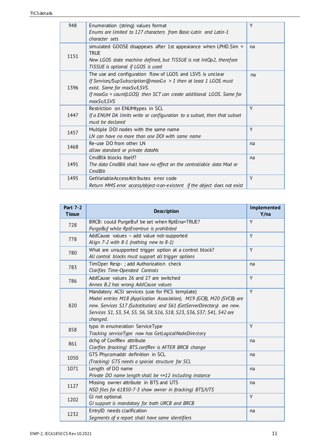| 948  | Enumeration (string) values format<br>Enums are limited to 127 characters from Basic-Latin and Latin-1<br>character sets                                                                                                                           | Y  |
|------|----------------------------------------------------------------------------------------------------------------------------------------------------------------------------------------------------------------------------------------------------|----|
| 1151 | simulated GOOSE disappears after 1st appearance when LPHD. Sim $=$<br><b>TRUF</b><br>New LGOS state machine defined, but TISSUE is not IntOp2, therefore<br>TISSUE is optional if LGOS is used                                                     | na |
| 1396 | The use and configuration flow of LGOS and LSVS is unclear<br>If Services/SupSubscription@maxGo > 1 then at least 1 LGOS must<br>exist. Same for maxSv/LSVS.<br>If maxGo > count(LGOS) then SCT can create additional LGOS. Same for<br>maxSv/LSVS | na |
| 1447 | Restriction on ENUMtypes in SCL<br>If a ENUM DA limits write or configuration to a subset, then that subset<br>must be declared                                                                                                                    | Y  |
| 1457 | Multiple DOI nodes with the same name<br>LN can have no more than one DOI with same name                                                                                                                                                           | Y  |
| 1468 | Re-use DO from other LN<br>allow standard or private dataNs                                                                                                                                                                                        | na |
| 1491 | CmdBlk blocks itself?<br>The data CmdBlk shall have no effect on the controllable data Mod or<br>CmdBlk                                                                                                                                            | na |
| 1495 | GetVariableAccessAttributes error code<br>Return MMS error access/object-non-existent if the object does not exist                                                                                                                                 | Y  |

| <b>Part 7-2</b><br><b>Tissue</b> | <b>Description</b>                                                                                                                                                                                                                                                                        | Implemented<br>Y/na |
|----------------------------------|-------------------------------------------------------------------------------------------------------------------------------------------------------------------------------------------------------------------------------------------------------------------------------------------|---------------------|
| 728                              | BRCB: could PurgeBuf be set when RptEna=TRUE?<br>PurgeBuf while RptEna=true is prohibited                                                                                                                                                                                                 | Y                   |
| 778                              | AddCause values - add value not-supported<br>Align 7-2 with 8-1 (nothing new to 8-1)                                                                                                                                                                                                      | Y                   |
| 780                              | What are unsupported trigger option at a control block?<br>All control blocks must support all trigger options                                                                                                                                                                            | Y                   |
| 783                              | TimOper Resp-; add Authorization check<br>Clarifies Time-Operated Controls                                                                                                                                                                                                                | na                  |
| 786                              | AddCause values 26 and 27 are switched<br>Annex B.2 has wrong AddCause values                                                                                                                                                                                                             | Y                   |
| 820                              | Mandatory ACSI services (use for PICS template)<br>Model entries M18 (Application Association), M19 (GCB), M20 (SVCB) are<br>new. Services S17 (Substitution) and S61 (GetServerDirectory) are new.<br>Services S1, S3, S4, S5, S6, S8, S16, S18, S23, S36, S37, S41, S42 are<br>changed. | $\overline{Y}$      |
| 858                              | typo in enumeration ServiceType<br>Tracking serviceType now has GetLogicalNodeDirectory                                                                                                                                                                                                   | Y                   |
| 861                              | dchg of ConfRev attribute<br>Clarifies (tracking) BTS.confRev is AFTER BRCB change                                                                                                                                                                                                        | na                  |
| 1050                             | GTS Phycomaddr definition in SCL<br>(Tracking) GTS needs a special structure for SCL                                                                                                                                                                                                      | na                  |
| 1071                             | Length of DO name<br>Private DO name length shall be <=12 including instance                                                                                                                                                                                                              | na                  |
| 1127                             | Missing owner attribute in BTS and UTS<br>NSD files for 61850-7-3 show owner in (tracking) BTS/UTS                                                                                                                                                                                        | na                  |
| 1202                             | GI not optional<br>GI support is mandatory for both URCB and BRCB                                                                                                                                                                                                                         | Y                   |
| 1232                             | EntryID needs clarification<br>Segments of a report shall have same identifiers                                                                                                                                                                                                           | na                  |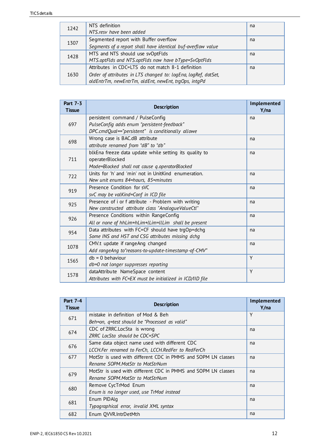| 1242 | NTS definition<br>NTS.resv have been added                     | na |
|------|----------------------------------------------------------------|----|
| 1307 | Segmented report with Buffer overflow                          | na |
|      | Segments of a report shall have identical buf-overflow value   |    |
| 1428 | MTS and NTS should use svOptFlds                               | na |
|      | MTS.optFlds and NTS.optFlds now have bType=SvOptFlds           |    |
|      | Attributes in CDC=LTS do not match 8-1 definition              | na |
| 1630 | Order of attributes in LTS changed to: logEna, logRef, datSet, |    |
|      | oldEntrTm, newEntrTm, oldEnt, newEnt, trqOps, intqPd           |    |

| Part 7-3<br><b>Tissue</b> | <b>Description</b>                                                                                                                   | Implemented<br>Y/na |
|---------------------------|--------------------------------------------------------------------------------------------------------------------------------------|---------------------|
| 697                       | persistent command / PulseConfig<br>PulseConfig adds enum "persistent-feedback"<br>DPC.cmdQual=="persistent" is conditionally allowe | na                  |
| 698                       | Wrong case is BAC.dB attribute<br>attribute renamed from "dB" to "db"                                                                | na                  |
| 711                       | blkEna freeze data update while setting its quality to<br>operaterBlocked<br>Mode=Blocked shall not cause q.operatorBlocked          | na                  |
| 722                       | Units for 'h' and 'min' not in UnitKind enumeration.<br>New unit enums 84=hours, 85=minutes                                          | na                  |
| 919                       | Presence Condition for sVC<br>svC may be valKind=Conf in ICD file                                                                    | na                  |
| 925                       | Presence of i or f attribute - Problem with writing<br>New constructed attribute class "AnalogueValueCtl"                            | na                  |
| 926                       | Presence Conditions within RangeConfig<br>All or none of hhLim+hLim+lLim+llLim shall be present                                      | na                  |
| 954                       | Data attributes with FC=CF should have trgOp=dchg<br>Some INS and HST and CSG attributes missing dchg                                | na                  |
| 1078                      | CMV.t update if rangeAng changed<br>Add rangeAng to "reasons-to-update-timestamp-of-CMV"                                             | na                  |
| 1565                      | $db = 0$ behaviour<br>db=0 not longer suppresses reporting                                                                           | Y                   |
| 1578                      | dataAttribute NameSpace content<br>Attributes with FC=EX must be initialized in ICD/IID file                                         | Y                   |

| <b>Part 7-4</b><br><b>Tissue</b> | <b>Description</b>                                            | Implemented<br>Y/na |
|----------------------------------|---------------------------------------------------------------|---------------------|
| 671                              | mistake in definition of Mod & Beh                            | Y                   |
|                                  | Beh=on, q=test should be "Processed as valid"                 |                     |
| 674                              | CDC of ZRRC.LocSta is wrong                                   | na                  |
|                                  | ZRRC LocSta should be CDC=SPC                                 |                     |
| 676                              | Same data object name used with different CDC                 | na                  |
|                                  | LCCH.Fer renamed to FerCh, LCCH.RedFer to RedFerCh            |                     |
| 677                              | MotStr is used with different CDC in PMMS and SOPM LN classes | na                  |
|                                  | Rename SOPM.MotStr to MotStrNum                               |                     |
| 679                              | MotStr is used with different CDC in PMMS and SOPM LN classes | na                  |
|                                  | Rename SOPM.MotStr to MotStrNum                               |                     |
| 680                              | Remove CycTrMod Enum                                          | na                  |
|                                  | Enum is no longer used, use TrMod instead                     |                     |
| 681                              | Enum PIDAlg                                                   | na                  |
|                                  | Typographical error, invalid XML syntax                       |                     |
| 682                              | Enum QVVR.IntrDetMth                                          | na                  |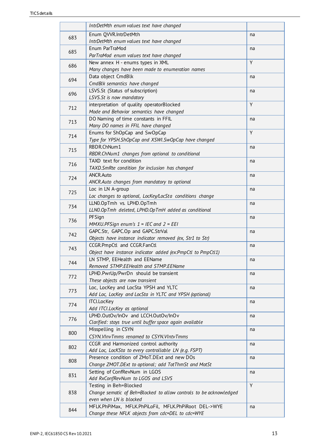|     | IntrDetMth enum values text have changed                                    |    |
|-----|-----------------------------------------------------------------------------|----|
|     | Enum QVVR.IntrDetMth                                                        | na |
| 683 | IntrDetMth enum values text have changed                                    |    |
| 685 | Enum ParTraMod                                                              | na |
|     | ParTraMod enum values text have changed                                     |    |
| 686 | New annex H - enums types in XML                                            | Y  |
|     | Many changes have been made to enumeration names                            |    |
| 694 | Data object CmdBlk                                                          | na |
|     | CmdBlk semantics have changed                                               |    |
| 696 | LSVS.St (Status of subscription)                                            | na |
|     | LSVS.St is now mandatory                                                    |    |
| 712 | interpretation of quality operatorBlocked                                   | Y  |
|     | Mode and Behavior semantics have changed                                    |    |
| 713 | DO Naming of time constants in FFIL                                         | na |
|     | Many DO names in FFIL have changed                                          | Y  |
| 714 | Enums for ShOpCap and SwOpCap                                               |    |
|     | Type for YPSH.ShOpCap and XSWI.SwOpCap have changed                         |    |
| 715 | RBDR.ChNum1                                                                 | na |
|     | RBDR.ChNum1 changes from optional to conditional<br>TAXD text for condition |    |
| 716 | TAXD. SmRte condition for inclusion has changed                             | na |
|     | ANCR.Auto                                                                   | na |
| 724 | ANCR.Auto changes from mandatory to optional                                |    |
|     | Loc in LN A-group                                                           | na |
| 725 | Loc changes to optional, LocKey/LocSta conditions change                    |    |
|     | LLN0.OpTmh vs. LPHD.OpTmh                                                   | na |
| 734 | LLNO.OpTmh deleted, LPHD.OpTmH added as conditional                         |    |
|     | PFSign                                                                      | na |
| 736 | MMXU.PFSign enum's $1 = IEC$ and $2 = EEI$                                  |    |
|     | GAPC.Str, GAPC.Op and GAPC.StrVal                                           | na |
| 742 | Objects have instance indicator removed (ex, Str1 to Str)                   |    |
| 743 | CCGR.PmpCtl and CCGR.FanCtl                                                 | na |
|     | Object have instance indicator added (ex:PmpCtl to PmpCtl1)                 |    |
| 744 | LN STMP, EEHealth and EEName                                                | na |
|     | Removed STMP.EEHealth and STMP.EEName                                       |    |
| 772 | LPHD.PwrUp/PwrDn should be transient                                        | na |
|     | These objects are now transient                                             |    |
| 773 | Loc, LocKey and LocSta YPSH and YLTC                                        | na |
|     | Add Loc, LocKey and LocSta in YLTC and YPSH (optional)                      |    |
| 774 | <b>ITCI.LocKey</b>                                                          | na |
|     | Add ITCI.LocKey as optional                                                 |    |
| 776 | LPHD.OutOv/InOv and LCCH.OutOv/InOv                                         | na |
|     | Clarified: stays true until buffer space again available                    |    |
| 800 | Misspelling in CSYN                                                         | na |
|     | CSYN. VInvTmms renamed to CSYN. VIntvTmms                                   |    |
| 802 | CCGR and Harmonized control authority                                       | na |
|     | Add Loc, LocKSta to every controllable LN (e.g. FSPT)                       |    |
| 808 | Presence condition of ZMoT.DExt and new DOs                                 | na |
|     | Change ZMOT.DExt to optional; add TotThmSt and MotSt                        |    |
| 831 | Setting of ConfRevNum in LGOS<br>Add RxConfRevNum to LGOS and LSVS          | na |
|     | Testing in Beh=Blocked                                                      | Y  |
| 838 | Change sematic of Beh=Blocked to allow controls to be acknowledged          |    |
|     | even when LN is blocked                                                     |    |
|     | MFLK.PhPiMax, MFLK.PhPiLoFil, MFLK.PhPiRoot DEL->WYE                        | na |
| 844 | Change these NFLK objects from cdc=DEL to cdc=WYE                           |    |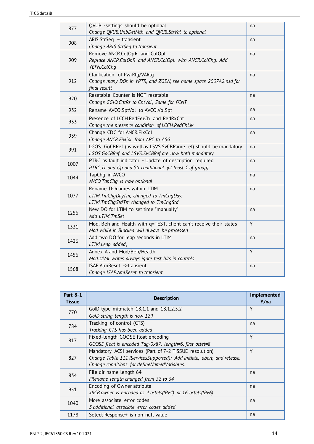| 877  | QVUB -settings should be optional<br>Change QVUB.UnbDetMth and QVUB.StrVal to optional                                   | na |
|------|--------------------------------------------------------------------------------------------------------------------------|----|
| 908  | ARIS.StrSeq - transient<br>Change ARIS.StrSeq to transient                                                               | na |
| 909  | Remove ANCR.ColOpR and ColOpL<br>Replace ANCR.ColOpR and ANCR.ColOpL with ANCR.ColChg. Add<br>YEFN.ColChg                | na |
| 912  | Clarification of PwrRtg/VARtg<br>Change many DOs in YPTR, and ZGEN, see name space 2007A2.nsd for<br>final result        | na |
| 920  | Resetable Counter is NOT resetable<br>Change GGIO.CntRs to CntVal; Same for FCNT                                         | na |
| 932  | Rename AVCO.SptVol to AVCO.VolSpt                                                                                        | na |
| 933  | Presence of LCCH.RedFerCh and RedRxCnt<br>Change the presence condition of LCCH.RedChLiv                                 | na |
| 939  | Change CDC for ANCR.FixCol<br>Change ANCR.FixCol from APC to ASG                                                         | na |
| 991  | LGOS: GoCBRef (as well as LSVS.SvCBRanre ef) should be mandatory<br>LGOS.GoCBRef and LSVS.SvCBRef are now both mandatory | na |
| 1007 | PTRC as fault indicator - Update of description required<br>PTRC.Tr and Op and Str conditional (at least 1 of group)     | na |
| 1044 | TapChq in AVCO<br>AVCO.TapChg is now optional                                                                            | na |
| 1077 | Rename DOnames within LTIM<br>LTIM.TmChgDayTm, changed to TmChgDay;<br>LTIM.TmChgStdTm changed to TmChgStd               | na |
| 1256 | New DO for LTIM to set time "manually"<br>Add LTIM.TmSet                                                                 | na |
| 1331 | Mod, Beh and Health with q=TEST, client can't receive their states<br>Mod while in Blocked will always be processed      | Y  |
| 1426 | Add two DO for leap seconds in LTIM<br>LTIM.Leap added,                                                                  | na |
| 1456 | Annex A and Mod/Beh/Health<br>Mod.stVal writes always igore test bits in controls                                        | Y  |
| 1568 | ISAF.AlmReset ->transient<br>Change ISAF.AmlReset to transient                                                           | na |

| <b>Part 8-1</b><br><b>Tissue</b> | <b>Description</b>                                                      | Implemented<br>Y/na |
|----------------------------------|-------------------------------------------------------------------------|---------------------|
| 770                              | GoID type mitmatch 18.1.1 and 18.1.2.5.2                                | Y                   |
|                                  | GoID string length is now 129                                           |                     |
| 784                              | Tracking of control (CTS)                                               | na                  |
|                                  | Tracking CTS has been added                                             |                     |
| 817                              | Fixed-length GOOSE float encoding                                       | Y                   |
|                                  | GOOSE float is encoded Tag-0x87, length=5, first octet=8                |                     |
|                                  | Mandatory ACSI services (Part of 7-2 TISSUE resolution)                 | Y                   |
| 827                              | Change Table 111 (ServicesSupported): Add initiate, abort, and release. |                     |
|                                  | Change conditions for defineNamedVariables.                             |                     |
| 834                              | File dir name length 64                                                 | na                  |
|                                  | Filename length changed from 32 to 64                                   |                     |
| 951                              | Encoding of Owner attribute                                             | na                  |
|                                  | xRCB.owner is encoded as 4 octets(IPv4) or 16 octets(IPv6)              |                     |
| 1040                             | More associate error codes                                              | na                  |
|                                  | 3 additional associate error codes added                                |                     |
| 1178                             | Select Response+ is non-null value                                      | na                  |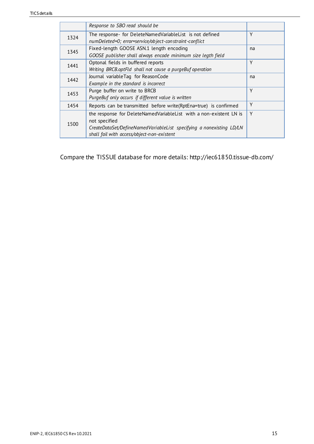|      | Response to SBO read should be                                       |    |
|------|----------------------------------------------------------------------|----|
| 1324 | The response- for DeleteNamedVariableList is not defined             | Υ  |
|      | numDeleted=0; error=service/object-constraint-conflict               |    |
| 1345 | Fixed-length GOOSE ASN.1 length encoding                             | na |
|      | GOOSE publisher shall always encode minimum size legth field         |    |
| 1441 | Optonal fields in buffered reports                                   | Υ  |
|      | Writing BRCB.optFld shall not cause a purgeBuf operation             |    |
| 1442 | Journal variableTag for ReasonCode                                   | na |
|      | Example in the standard is incorrect                                 |    |
| 1453 | Purge buffer on write to BRCB                                        | Y  |
|      | PurgeBuf only occurs if different value is written                   |    |
| 1454 | Reports can be transmitted before write(RptEna=true) is confirmed    | Y  |
|      | the response for DeleteNamedVariableList with a non-existent LN is   | Y  |
| 1500 | not specified                                                        |    |
|      | CreateDataSet/DefineNamedVariableList specifying a nonexisting LD/LN |    |
|      | shall fail with access/object-non-existent                           |    |

Compare the TISSUE database for more details: http://iec61850.tissue-db.com/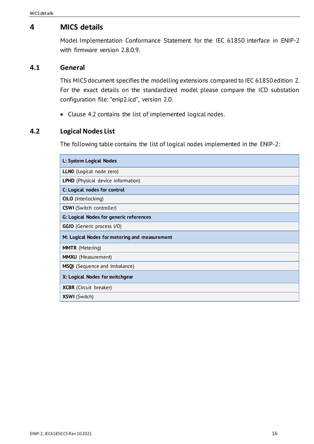### <span id="page-15-0"></span>**4 MICS details**

Model Implementation Conformance Statement for the IEC 61850 interface in ENIP-2 with firmware version 2.8.0.9.

#### <span id="page-15-1"></span>**4.1 General**

This MICS document specifies the modelling extensions compared to IEC 61850 edition 2. For the exact details on the standardized model please compare the ICD substation configuration file: "enip2.icd", version 2.0.

• Clause [4.2](#page-15-2) contains the list of implemented logical nodes.

#### <span id="page-15-2"></span>**4.2 Logical Nodes List**

The following table contains the list of logical nodes implemented in the ENIP-2:

| L: System Logical Nodes                        |
|------------------------------------------------|
| <b>LLNO</b> (Logical node zero)                |
| <b>LPHD</b> (Physical device information)      |
| C: Logical nodes for control                   |
| <b>CILO</b> (Interlocking)                     |
| <b>CSWI</b> (Switch controller)                |
| <b>G: Logical Nodes for generic references</b> |
| <b>GGIO</b> (Generic process I/O)              |
| M: Logical Nodes for metering and measurement  |
| <b>MMTR</b> (Metering)                         |
| <b>MMXU</b> (Measurement)                      |
| MSQI (Sequence and Imbalance)                  |
| X: Logical Nodes for switchgear                |
| <b>XCBR</b> (Circuit breaker)                  |
| <b>XSWI</b> (Switch)                           |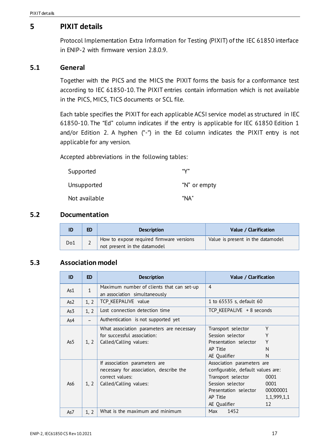# <span id="page-16-0"></span>**5 PIXIT details**

Protocol Implementation Extra Information for Testing (PIXIT) of the IEC 61850 interface in ENIP-2 with firmware version 2.8.0.9.

#### **5.1 General**

Together with the PICS and the MICS the PIXIT forms the basis for a conformance test according to IEC 61850-10. The PIXIT entries contain information which is not available in the PICS, MICS, TICS documents or SCL file.

Each table specifies the PIXIT for each applicable ACSI service model as structured in IEC 61850-10. The "Ed" column indicates if the entry is applicable for IEC 61850 Edition 1 and/or Edition 2. A hyphen ("-") in the Ed column indicates the PIXIT entry is not applicable for any version.

Accepted abbreviations in the following tables:

| Supported     | "V"          |
|---------------|--------------|
| Unsupported   | "N" or empty |
| Not available | "NA"         |

#### <span id="page-16-1"></span>**5.2 Documentation**

|     | ED | <b>Description</b>                       | Value / Clarification             |
|-----|----|------------------------------------------|-----------------------------------|
| Do1 |    | How to expose required firmware versions | Value is present in the datamodel |
|     |    | not present in the datamodel             |                                   |

### <span id="page-16-2"></span>**5.3 Association model**

| ID              | <b>ED</b>      | <b>Description</b>                        | Value / Clarification             |
|-----------------|----------------|-------------------------------------------|-----------------------------------|
| As1             | $\overline{1}$ | Maximum number of clients that can set-up | 4                                 |
|                 |                | an association simultaneously             |                                   |
| As <sub>2</sub> | 1, 2           | TCP KEEPALIVE value                       | 1 to 65535 s, default 60          |
| As3             | 1, 2           | Lost connection detection time            | TCP KEEPALIVE + 8 seconds         |
| As4             |                | Authentication is not supported yet       |                                   |
|                 |                | What association parameters are necessary | Y<br>Transport selector           |
|                 |                | for successful association:               | Υ<br>Session selector             |
| As5             | 1, 2           | Called/Calling values:                    | Y<br>Presentation selector        |
|                 |                |                                           | AP Title<br>N                     |
|                 |                |                                           | AE Qualifier<br>N                 |
|                 |                | If association parameters are             | Association parameters are        |
|                 |                | necessary for association, describe the   | configurable, default values are: |
|                 |                | correct values:                           | Transport selector<br>0001        |
| As6             | 1, 2           | Called/Calling values:                    | Session selector<br>0001          |
|                 |                |                                           | 00000001<br>Presentation selector |
|                 |                |                                           | AP Title<br>1,1,999,1,1           |
|                 |                |                                           | AE Qualifier<br>12                |
| As7             | 1, 2           | What is the maximum and minimum           | 1452<br>Max                       |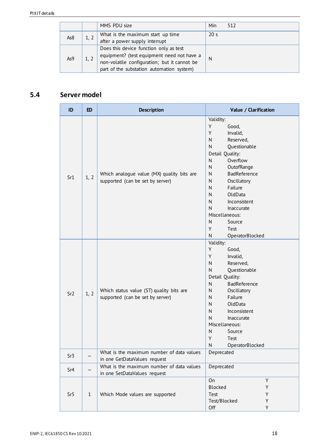|     |      | MMS PDU size                                                                                                                                                                      | Min             | 512 |
|-----|------|-----------------------------------------------------------------------------------------------------------------------------------------------------------------------------------|-----------------|-----|
| As8 |      | What is the maximum start up time<br>after a power supply interrupt                                                                                                               | 20 <sub>s</sub> |     |
| As9 | 1, 2 | Does this device function only as test<br>equipment? (test equipment need not have a<br>non-volatile configuration; but it cannot be<br>part of the substation automation system) | N               |     |

# <span id="page-17-0"></span>**5.4 Server model**

| ID              | <b>ED</b>    | <b>Description</b>                                                             | Value / Clarification                                                                                                                                                                                                                                                                                                                                                                 |
|-----------------|--------------|--------------------------------------------------------------------------------|---------------------------------------------------------------------------------------------------------------------------------------------------------------------------------------------------------------------------------------------------------------------------------------------------------------------------------------------------------------------------------------|
| Sr1             | 1, 2         | Which analogue value (MX) quality bits are<br>supported (can be set by server) | Validity:<br>Y<br>Good,<br>Y<br>Invalid,<br>${\sf N}$<br>Reserved,<br>${\sf N}$<br>Questionable<br>Detail Quality:<br>Overflow<br>N<br>${\sf N}$<br>OutofRange<br>${\sf N}$<br>BadReference<br>${\sf N}$<br>Oscillatory<br>Failure<br>N<br>N<br>OldData<br>N<br>Inconsistent<br>N<br>Inaccurate<br>Miscellaneous:<br>${\sf N}$<br>Source<br>Y<br>Test<br>${\sf N}$<br>OperatorBlocked |
| Sr <sub>2</sub> | 1, 2         | Which status value (ST) quality bits are<br>supported (can be set by server)   | Validity:<br>Y<br>Good,<br>Y<br>Invalid,<br>${\sf N}$<br>Reserved,<br>Questionable<br>${\sf N}$<br>Detail Quality:<br>BadReference<br>N<br>Oscillatory<br>N<br>Failure<br>N<br>OldData<br>N<br>N<br>Inconsistent<br>N<br>Inaccurate<br>Miscellaneous:<br>N<br>Source<br>Y<br>Test<br>N<br>OperatorBlocked                                                                             |
| Sr3             |              | What is the maximum number of data values<br>in one GetDataValues request      | Deprecated                                                                                                                                                                                                                                                                                                                                                                            |
| Sr4             |              | What is the maximum number of data values<br>in one SetDataValues request      | Deprecated                                                                                                                                                                                                                                                                                                                                                                            |
| Sr <sub>5</sub> | $\mathbf{1}$ | Which Mode values are supported                                                | On<br>Y<br>Blocked<br>Υ<br>Test<br>Υ<br>Test/Blocked<br>Y<br>Off<br>Y                                                                                                                                                                                                                                                                                                                 |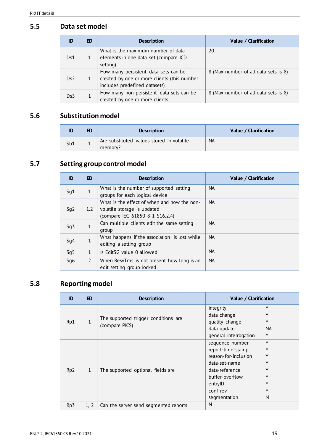### <span id="page-18-0"></span>**5.5 Data set model**

| ID  | ED           | <b>Description</b>                                                                                                   | Value / Clarification                |
|-----|--------------|----------------------------------------------------------------------------------------------------------------------|--------------------------------------|
| Ds1 |              | What is the maximum number of data<br>elements in one data set (compare ICD<br>setting)                              | 20                                   |
| Ds2 | $\mathbf{1}$ | How many persistent data sets can be<br>created by one or more clients (this number<br>includes predefined datasets) | 8 (Max number of all data sets is 8) |
| Ds3 |              | How many non-persistent data sets can be<br>created by one or more clients                                           | 8 (Max number of all data sets is 8) |

# <span id="page-18-1"></span>**5.6 Substitution model**

| ID  |   | <b>Description</b>                                   | Value / Clarification |
|-----|---|------------------------------------------------------|-----------------------|
| Sb1 | - | Are substituted values stored in volatile<br>memory? | <b>NA</b>             |

# <span id="page-18-2"></span>**5.7 Setting group control model**

| ID  | <b>ED</b>      | <b>Description</b>                            | Value / Clarification |
|-----|----------------|-----------------------------------------------|-----------------------|
| Sg1 | $\mathbf{1}$   | What is the number of supported setting       | <b>NA</b>             |
|     |                | groups for each logical device                |                       |
|     |                | What is the effect of when and how the non-   | <b>NA</b>             |
| Sg2 | 1.2            | volatile storage is updated                   |                       |
|     |                | (compare IEC 61850-8-1 \$16.2.4)              |                       |
| Sg3 | $\mathbf{1}$   | Can multiple clients edit the same setting    | <b>NA</b>             |
|     |                | group                                         |                       |
|     | $\mathbf{1}$   | What happens if the association is lost while | <b>NA</b>             |
| Sg4 |                | editing a setting group                       |                       |
| Sg5 | $\mathbf{1}$   | Is EditSG value 0 allowed                     | <b>NA</b>             |
| Sq6 | $\overline{2}$ | When ResvTms is not present how long is an    | <b>NA</b>             |
|     |                | edit setting group locked                     |                       |

# <span id="page-18-3"></span>**5.8 Reporting model**

| ID              | <b>ED</b>    | <b>Description</b>                               | Value / Clarification |     |
|-----------------|--------------|--------------------------------------------------|-----------------------|-----|
|                 |              |                                                  | integrity             | Υ   |
|                 |              | The supported trigger conditions are             | data change           | Υ   |
| Rp1             | $\mathbf{1}$ |                                                  | quality change        | Y   |
|                 |              | (compare PICS)                                   | data update           | NA. |
|                 |              |                                                  | general interrogation | Y   |
|                 |              | $\mathbf 1$<br>The supported optional fields are | sequence-number       | Y   |
|                 |              |                                                  | report-time-stamp     | Υ   |
|                 |              |                                                  | reason-for-inclusion  | Υ   |
|                 |              |                                                  | data-set-name         | v   |
| Rp <sub>2</sub> |              |                                                  | data-reference        |     |
|                 |              |                                                  | buffer-overflow       |     |
|                 |              |                                                  | entrylD               |     |
|                 |              |                                                  | conf-rev              | v   |
|                 |              |                                                  | segmentation          | N   |
| Rp3             | 1, 2         | Can the server send segmented reports            | N                     |     |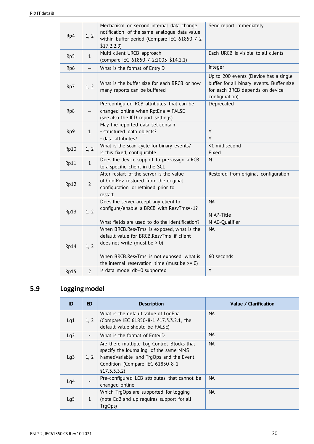| Rp4  | 1, 2                     | Mechanism on second internal data change<br>notification of the same analogue data value<br>within buffer period (Compare IEC 61850-7-2<br>\$17.2.2.9                                                                    | Send report immediately                                                                                                                 |
|------|--------------------------|--------------------------------------------------------------------------------------------------------------------------------------------------------------------------------------------------------------------------|-----------------------------------------------------------------------------------------------------------------------------------------|
| Rp5  | $\mathbf{1}$             | Multi client URCB approach<br>(compare IEC 61850-7-2:2003 \$14.2.1)                                                                                                                                                      | Each URCB is visible to all clients                                                                                                     |
| Rp6  |                          | What is the format of EntryID                                                                                                                                                                                            | Integer                                                                                                                                 |
| Rp7  | 1, 2                     | What is the buffer size for each BRCB or how<br>many reports can be buffered                                                                                                                                             | Up to 200 events (Device has a single<br>buffer for all binary events. Buffer size<br>for each BRCB depends on device<br>configuration) |
| Rp8  | $\overline{\phantom{0}}$ | Pre-configured RCB attributes that can be<br>changed online when RptEna = FALSE<br>(see also the ICD report settings)                                                                                                    | Deprecated                                                                                                                              |
| Rp9  | $\mathbf{1}$             | May the reported data set contain:<br>- structured data objects?<br>- data attributes?                                                                                                                                   | Y<br>Y                                                                                                                                  |
| Rp10 | 1, 2                     | What is the scan cycle for binary events?<br>Is this fixed, configurable                                                                                                                                                 | <1 millisecond<br>Fixed                                                                                                                 |
| Rp11 | $\mathbf{1}$             | Does the device support to pre-assign a RCB<br>to a specific client in the SCL                                                                                                                                           | N                                                                                                                                       |
| Rp12 | $\overline{2}$           | After restart of the server is the value<br>of ConfRev restored from the original<br>configuration or retained prior to<br>restart                                                                                       | Restored from original configuration                                                                                                    |
| Rp13 | 1, 2                     | Does the server accept any client to<br>configure/enable a BRCB with ResvTms=-1?<br>What fields are used to do the identification?                                                                                       | <b>NA</b><br>N AP-Title<br>N AE-Qualifier                                                                                               |
| Rp14 | 1, 2                     | When BRCB.ResvTms is exposed, what is the<br>default value for BRCB.ResvTms if client<br>does not write (must be $> 0$ )<br>When BRCB.ResvTms is not exposed, what is<br>the internal reservation time (must be $>= 0$ ) | NA.<br>60 seconds                                                                                                                       |
| Rp15 | $\overline{2}$           | Is data model db=0 supported                                                                                                                                                                                             | Υ                                                                                                                                       |

# <span id="page-19-0"></span>**5.9 Logging model**

| ID              | <b>ED</b>                | <b>Description</b>                                                                                                                                                                  | Value / Clarification |
|-----------------|--------------------------|-------------------------------------------------------------------------------------------------------------------------------------------------------------------------------------|-----------------------|
|                 |                          | What is the default value of LogEna                                                                                                                                                 | <b>NA</b>             |
| Lg1             | 1, 2                     | (Compare IEC 61850-8-1 §17.3.3.2.1, the<br>default value should be FALSE)                                                                                                           |                       |
| Lg2             | $\overline{\phantom{0}}$ | What is the format of EntryID                                                                                                                                                       | <b>NA</b>             |
| Lg <sub>3</sub> | 1, 2                     | Are there multiple Log Control Blocks that<br>specify the Journaling of the same MMS<br>NamedVariable and TrgOps and the Event<br>Condition (Compare IEC 61850-8-1<br>\$17.3.3.3.2) | <b>NA</b>             |
| Lq4             |                          | Pre-configured LCB attributes that cannot be<br>changed online                                                                                                                      | <b>NA</b>             |
|                 |                          | Which TrgOps are supported for logging                                                                                                                                              | <b>NA</b>             |
| Lg <sub>5</sub> | $\mathbf{1}$             | (note Ed2 and up requires support for all<br>TrgOps)                                                                                                                                |                       |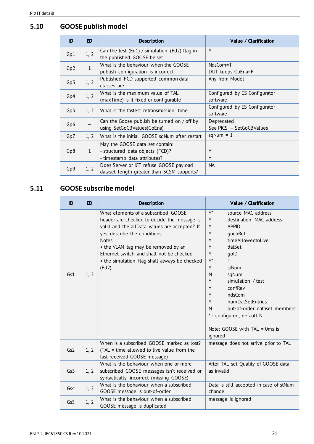# <span id="page-20-0"></span>**5.10 GOOSE publish model**

| ID              | ED.          | <b>Description</b>                                                                                  | Value / Clarification                     |
|-----------------|--------------|-----------------------------------------------------------------------------------------------------|-------------------------------------------|
| Gp1             | 1, 2         | Can the test (Ed1) / simulation (Ed2) flag in<br>the published GOOSE be set                         | Υ                                         |
| Gp <sub>2</sub> | $\mathbf{1}$ | What is the behaviour when the GOOSE<br>publish configuration is incorrect                          | NdsCom=T<br>DUT keeps GoEna=F             |
| Gp <sub>3</sub> | 1, 2         | Published FCD supported common data<br>classes are                                                  | Any from Model                            |
| Gp4             | 1, 2         | What is the maximum value of TAL<br>(maxTime) Is it fixed or configurable                           | Configured by ES Configurator<br>software |
| Gp5             | 1, 2         | What is the fastest retransmission time                                                             | Configured by ES Configurator<br>software |
| Gp6             |              | Can the Goose publish be turned on / off by<br>using SetGoCBValues(GoEna)                           | Deprecated<br>See PICS - SetGoCBValues    |
| Gp7             | 1, 2         | What is the initial GOOSE sqNum after restart                                                       | $sqNum = 1$                               |
| Gp8             | $\mathbf{1}$ | May the GOOSE data set contain:<br>- structured data objects (FCD)?<br>- timestamp data attributes? | Υ<br>Υ                                    |
| Gp9             | 1, 2         | Does Server or ICT refuse GOOSE payload<br>dataset length greater than SCSM supports?               | <b>NA</b>                                 |

# <span id="page-20-1"></span>**5.11 GOOSE subscribe model**

| ID  | <b>ED</b> | <b>Description</b>                                                                                                                                                                                                                                                                                                          | Value / Clarification                                                                                                                                                                                                                                                                                                                                                                               |
|-----|-----------|-----------------------------------------------------------------------------------------------------------------------------------------------------------------------------------------------------------------------------------------------------------------------------------------------------------------------------|-----------------------------------------------------------------------------------------------------------------------------------------------------------------------------------------------------------------------------------------------------------------------------------------------------------------------------------------------------------------------------------------------------|
| Gs1 | 1, 2      | What elements of a subscribed GOOSE<br>header are checked to decide the message is<br>valid and the allData values are accepted? If<br>yes, describe the conditions.<br>Notes:<br>• the VLAN tag may be removed by an<br>Ethernet switch and shall not be checked<br>• the simulation flag shall always be checked<br>(Ed2) | $Y^*$<br>source MAC address<br>Y<br>destination MAC address<br>Y<br><b>APPID</b><br>Υ<br>qocbRef<br>Y<br>timeAllowedtoLive<br>Y<br>datSet<br>Y<br>qolD<br>$Y^*$<br>Τ<br>Y<br>stNum<br>N<br>sqNum<br>Υ<br>simulation / test<br>Υ<br>confRev<br>Υ<br>ndsCom<br>Y<br>numDatSetEntries<br>out-of-order dataset members<br>N<br>* - configured, default N<br>Note: GOOSE with $TAL = 0$ ms is<br>ignored |
| Gs2 | 1, 2      | When is a subscribed GOOSE marked as lost?<br>(TAL = time allowed to live value from the<br>last received GOOSE message)                                                                                                                                                                                                    | message does not arrive prior to TAL                                                                                                                                                                                                                                                                                                                                                                |
| Gs3 | 1, 2      | What is the behaviour when one or more<br>subscribed GOOSE messages isn't received or<br>syntactically incorrect (missing GOOSE)                                                                                                                                                                                            | After TAL set Quality of GOOSE data<br>as invalid                                                                                                                                                                                                                                                                                                                                                   |
| Gs4 | 1, 2      | What is the behaviour when a subscribed<br>GOOSE message is out-of-order                                                                                                                                                                                                                                                    | Data is still accepted in case of stNum<br>change                                                                                                                                                                                                                                                                                                                                                   |
| Gs5 | 1, 2      | What is the behaviour when a subscribed<br>GOOSE message is duplicated                                                                                                                                                                                                                                                      | message is ignored                                                                                                                                                                                                                                                                                                                                                                                  |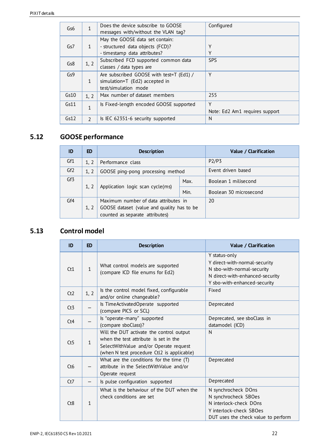| Gs6  | 1             | Does the device subscribe to GOOSE       | Configured                     |
|------|---------------|------------------------------------------|--------------------------------|
|      |               | messages with/without the VLAN tag?      |                                |
|      |               | May the GOOSE data set contain:          |                                |
| Gs7  | 1             | - structured data objects (FCD)?         | Υ                              |
|      |               | - timestamp data attributes?             | Υ                              |
| Gs8  |               | Subscribed FCD supported common data     | <b>SPS</b>                     |
|      | 1, 2          | classes / data types are                 |                                |
| Gs9  |               | Are subscribed GOOSE with test=T (Ed1) / | Υ                              |
|      | $\mathbf{1}$  | simulation=T (Ed2) accepted in           |                                |
|      |               | test/simulation mode                     |                                |
| Gs10 | 1, 2          | Max number of dataset members            | 255                            |
| Gs11 | 1             | Is Fixed-length encoded GOOSE supported  | Υ                              |
|      |               |                                          | Note: Ed2 Am1 requires support |
| Gs12 | $\mathcal{L}$ | Is IEC 62351-6 security supported        | N                              |

# <span id="page-21-0"></span>**5.12 GOOSE performance**

| ID              | ED   | <b>Description</b>                         |      | Value / Clarification  |
|-----------------|------|--------------------------------------------|------|------------------------|
| Gf1             | 1, 2 | Performance class                          |      | P2/P3                  |
| Gf <sub>2</sub> | 1, 2 | GOOSE ping-pong processing method          |      | Event driven based     |
| Gf3             | 1, 2 | Application logic scan cycle(ms)           | Max. | Boolean 1 milisecond   |
|                 |      |                                            | Min. | Boolean 30 microsecond |
| Gf4             |      | Maximum number of data attributes in       |      | 20                     |
|                 | 1, 2 | GOOSE dataset (value and quality has to be |      |                        |
|                 |      | counted as separate attributes)            |      |                        |

# <span id="page-21-1"></span>**5.13 Control model**

| ID               | <b>ED</b>    | <b>Description</b>                                                                                                                                                        | Value / Clarification                                                                                                                           |
|------------------|--------------|---------------------------------------------------------------------------------------------------------------------------------------------------------------------------|-------------------------------------------------------------------------------------------------------------------------------------------------|
| Ct1              | $\mathbf{1}$ | What control models are supported<br>(compare ICD file enums for Ed2)                                                                                                     | Y status-only<br>Y direct-with-normal-security<br>N sbo-with-normal-security<br>N direct-with-enhanced-security<br>Y sbo-with-enhanced-security |
| Ct2              | 1, 2         | Is the control model fixed, configurable<br>and/or online changeable?                                                                                                     | Fixed                                                                                                                                           |
| Ct3              |              | Is TimeActivatedOperate supported<br>(compare PICS or SCL)                                                                                                                | Deprecated                                                                                                                                      |
| Ct4              |              | Is "operate-many" supported<br>(compare sboClass)?                                                                                                                        | Deprecated, see sboClass in<br>datamodel (ICD)                                                                                                  |
| Ct5              | $\mathbf{1}$ | Will the DUT activate the control output<br>when the test attribute is set in the<br>SelectWithValue and/or Operate request<br>(when N test procedure Ctl2 is applicable) | N                                                                                                                                               |
| Ct6              |              | What are the conditions for the time $(T)$<br>attribute in the SelectWithValue and/or<br>Operate request                                                                  | Deprecated                                                                                                                                      |
| Ct7              |              | Is pulse configuration supported                                                                                                                                          | Deprecated                                                                                                                                      |
| C <sub>t</sub> 8 | $\mathbf{1}$ | What is the behaviour of the DUT when the<br>check conditions are set                                                                                                     | N synchrocheck DOns<br>N synchrocheck SBOes<br>N interlock-check DOns<br>Y interlock-check SBOes<br>DUT uses the check value to perform         |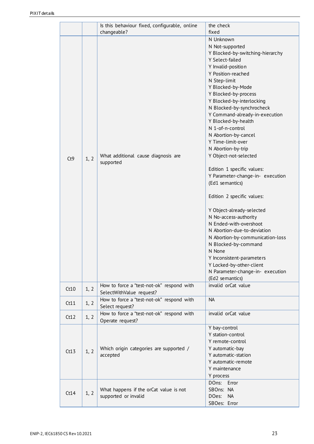|      |      | Is this behaviour fixed, configurable, online                         | the check                                                                                                                                                                                                                                                                                                                                                                                                                                                                                                                                                                                                                                                                                                                                                                                                                            |
|------|------|-----------------------------------------------------------------------|--------------------------------------------------------------------------------------------------------------------------------------------------------------------------------------------------------------------------------------------------------------------------------------------------------------------------------------------------------------------------------------------------------------------------------------------------------------------------------------------------------------------------------------------------------------------------------------------------------------------------------------------------------------------------------------------------------------------------------------------------------------------------------------------------------------------------------------|
|      |      | changeable?                                                           | fixed                                                                                                                                                                                                                                                                                                                                                                                                                                                                                                                                                                                                                                                                                                                                                                                                                                |
| Ct9  | 1, 2 | What additional cause diagnosis are<br>supported                      | N Unknown<br>N Not-supported<br>Y Blocked-by-switching-hierarchy<br>Y Select-failed<br>Y Invalid-position<br>Y Position-reached<br>N Step-limit<br>Y Blocked-by-Mode<br>Y Blocked-by-process<br>Y Blocked-by-interlocking<br>N Blocked-by-synchrocheck<br>Y Command-already-in-execution<br>Y Blocked-by-health<br>N 1-of-n-control<br>N Abortion-by-cancel<br>Y Time-limit-over<br>N Abortion-by-trip<br>Y Object-not-selected<br>Edition 1 specific values:<br>Y Parameter-change-in- execution<br>(Ed1 semantics)<br>Edition 2 specific values:<br>Y Object-already-selected<br>N No-access-authority<br>N Ended-with-overshoot<br>N Abortion-due-to-deviation<br>N Abortion-by-communication-loss<br>N Blocked-by-command<br>N None<br>Y Inconsistent-parameters<br>Y Locked-by-other-client<br>N Parameter-change-in- execution |
| Ct10 | 1, 2 | How to force a "test-not-ok" respond with<br>SelectWithValue request? | (Ed2 semantics)<br>invalid orCat value                                                                                                                                                                                                                                                                                                                                                                                                                                                                                                                                                                                                                                                                                                                                                                                               |
| Ct11 | 1, 2 | How to force a "test-not-ok" respond with<br>Select request?          | <b>NA</b>                                                                                                                                                                                                                                                                                                                                                                                                                                                                                                                                                                                                                                                                                                                                                                                                                            |
| Ct12 | 1, 2 | How to force a "test-not-ok" respond with<br>Operate request?         | invalid orCat value                                                                                                                                                                                                                                                                                                                                                                                                                                                                                                                                                                                                                                                                                                                                                                                                                  |
| Ct13 | 1, 2 | Which origin categories are supported /<br>accepted                   | Y bay-control<br>Y station-control<br>Y remote-control<br>Y automatic-bay<br>Y automatic-station<br>Y automatic-remote<br>Y maintenance<br>Y process                                                                                                                                                                                                                                                                                                                                                                                                                                                                                                                                                                                                                                                                                 |
| Ct14 | 1, 2 | What happens if the orCat value is not<br>supported or invalid        | DOns:<br>Error<br>SBOns: NA<br>DOes:<br><b>NA</b><br>SBOes: Error                                                                                                                                                                                                                                                                                                                                                                                                                                                                                                                                                                                                                                                                                                                                                                    |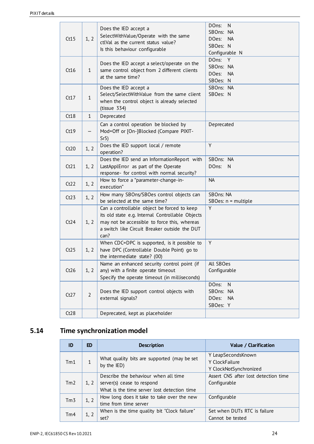| Ct15 | 1, 2           | Does the IED accept a<br>SelectWithValue/Operate with the same<br>ctlVal as the current status value?<br>Is this behaviour configurable                                                                  | DOns:<br>N<br>SBOns: NA<br>DOes:<br><b>NA</b><br>SBOes: N<br>Configurable N |
|------|----------------|----------------------------------------------------------------------------------------------------------------------------------------------------------------------------------------------------------|-----------------------------------------------------------------------------|
| Ct16 | $\mathbf{1}$   | Does the IED accept a select/operate on the<br>same control object from 2 different clients<br>at the same time?                                                                                         | DOns:<br>Y<br>SBOns: NA<br>DOes: NA<br>SBOes: N                             |
| Ct17 | $\mathbf{1}$   | Does the IED accept a<br>Select/SelectWithValue from the same client<br>when the control object is already selected<br>(tissue 334)                                                                      | SBOns: NA<br>SBOes: N                                                       |
| Ct18 | $\mathbf{1}$   | Deprecated                                                                                                                                                                                               |                                                                             |
| Ct19 | —              | Can a control operation be blocked by<br>Mod=Off or [On-]Blocked (Compare PIXIT-<br>Sr5)                                                                                                                 | Deprecated                                                                  |
| Ct20 | 1, 2           | Does the IED support local / remote<br>operation?                                                                                                                                                        | Y                                                                           |
| Ct21 | 1, 2           | Does the IED send an InformationReport with<br>LastApplError as part of the Operate<br>response- for control with normal security?                                                                       | SBOns: NA<br>DOns:<br>N                                                     |
| Ct22 | 1, 2           | How to force a "parameter-change-in-<br>execution"                                                                                                                                                       | <b>NA</b>                                                                   |
| Ct23 | 1, 2           | How many SBOns/SBOes control objects can<br>be selected at the same time?                                                                                                                                | SBOns: NA<br>$SBOes: n = multiple$                                          |
| Ct24 | 1, 2           | Can a controllable object be forced to keep<br>its old state e.g. Internal Controllable Objects<br>may not be accessible to force this, whereas<br>a switch like Circuit Breaker outside the DUT<br>can? | Y                                                                           |
| Ct25 | 1, 2           | When CDC=DPC is supported, is it possible to<br>have DPC (Controllable Double Point) go to<br>the intermediate state? (00)                                                                               | Y                                                                           |
| Ct26 | 1, 2           | Name an enhanced security control point (if<br>any) with a finite operate timeout<br>Specify the operate timeout (in milliseconds)                                                                       | All SBOes<br>Configurable                                                   |
| Ct27 | $\overline{2}$ | Does the IED support control objects with<br>external signals?                                                                                                                                           | DOns:<br>$\mathsf{N}$<br>SBOns: NA<br>DOes:<br><b>NA</b><br>SBOes: Y        |
| Ct28 |                | Deprecated, kept as placeholder                                                                                                                                                                          |                                                                             |

# <span id="page-23-0"></span>**5.14 Time synchronization model**

| ID              | ED.  | <b>Description</b>                           | Value / Clarification                |
|-----------------|------|----------------------------------------------|--------------------------------------|
|                 |      | What quality bits are supported (may be set  | Y LeapSecondsKnown                   |
| Tm1             |      | by the IED)                                  | Y ClockFailure                       |
|                 |      |                                              | Y ClockNotSynchronized               |
|                 |      | Describe the behaviour when all time         | Assert CNS after lost detection time |
| Tm <sub>2</sub> | 1, 2 | server(s) cease to respond                   | Configurable                         |
|                 |      | What is the time server lost detection time  |                                      |
| Tm <sub>3</sub> | 1, 2 | How long does it take to take over the new   | Configurable                         |
|                 |      | time from time server                        |                                      |
| Tm4             |      | When is the time quality bit "Clock failure" | Set when DUTs RTC is failure         |
|                 | 1, 2 | set?                                         | Cannot be tested                     |